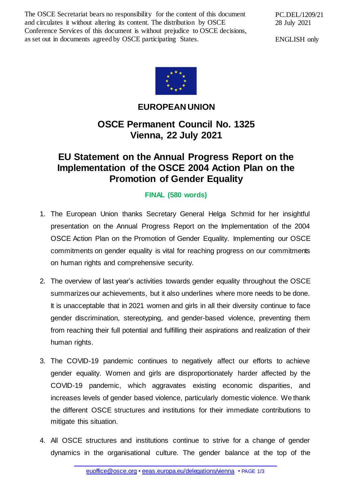The OSCE Secretariat bears no responsibility for the content of this document and circulates it without altering its content. The distribution by OSCE Conference Services of this document is without prejudice to OSCE decisions, as set out in documents agreed by OSCE participating States.

PC.DEL/1209/21 28 July 2021

ENGLISH only



## **EUROPEAN UNION**

## **OSCE Permanent Council No. 1325 Vienna, 22 July 2021**

## **EU Statement on the Annual Progress Report on the Implementation of the OSCE 2004 Action Plan on the Promotion of Gender Equality**

## **FINAL (580 words)**

- 1. The European Union thanks Secretary General Helga Schmid for her insightful presentation on the Annual Progress Report on the Implementation of the 2004 OSCE Action Plan on the Promotion of Gender Equality. Implementing our OSCE commitments on gender equality is vital for reaching progress on our commitments on human rights and comprehensive security.
- 2. The overview of last year's activities towards gender equality throughout the OSCE summarizes our achievements, but it also underlines where more needs to be done. It is unacceptable that in 2021 women and girls in all their diversity continue to face gender discrimination, stereotyping, and gender-based violence, preventing them from reaching their full potential and fulfilling their aspirations and realization of their human rights.
- 3. The COVID-19 pandemic continues to negatively affect our efforts to achieve gender equality. Women and girls are disproportionately harder affected by the COVID-19 pandemic, which aggravates existing economic disparities, and increases levels of gender based violence, particularly domestic violence. We thank the different OSCE structures and institutions for their immediate contributions to mitigate this situation.
- 4. All OSCE structures and institutions continue to strive for a change of gender dynamics in the organisational culture. The gender balance at the top of the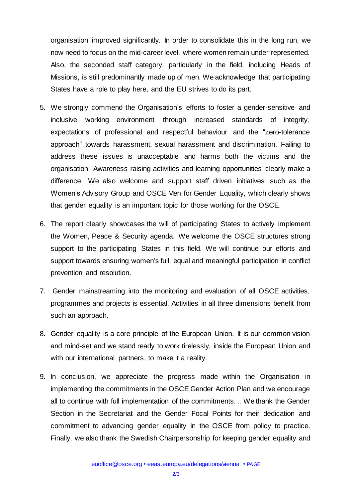organisation improved significantly. In order to consolidate this in the long run, we now need to focus on the mid-career level, where women remain under represented. Also, the seconded staff category, particularly in the field, including Heads of Missions, is still predominantly made up of men. We acknowledge that participating States have a role to play here, and the EU strives to do its part.

- 5. We strongly commend the Organisation's efforts to foster a gender-sensitive and inclusive working environment through increased standards of integrity, expectations of professional and respectful behaviour and the "zero-tolerance approach" towards harassment, sexual harassment and discrimination. Failing to address these issues is unacceptable and harms both the victims and the organisation. Awareness raising activities and learning opportunities clearly make a difference. We also welcome and support staff driven initiatives such as the Women's Advisory Group and OSCE Men for Gender Equality, which clearly shows that gender equality is an important topic for those working for the OSCE.
- 6. The report clearly showcases the will of participating States to actively implement the Women, Peace & Security agenda. We welcome the OSCE structures strong support to the participating States in this field. We will continue our efforts and support towards ensuring women's full, equal and meaningful participation in conflict prevention and resolution.
- 7. Gender mainstreaming into the monitoring and evaluation of all OSCE activities, programmes and projects is essential. Activities in all three dimensions benefit from such an approach.
- 8. Gender equality is a core principle of the European Union. It is our common vision and mind-set and we stand ready to work tirelessly, inside the European Union and with our international partners, to make it a reality.
- 9. In conclusion, we appreciate the progress made within the Organisation in implementing the commitments in the OSCE Gender Action Plan and we encourage all to continue with full implementation of the commitments. .. We thank the Gender Section in the Secretariat and the Gender Focal Points for their dedication and commitment to advancing gender equality in the OSCE from policy to practice. Finally, we also thank the Swedish Chairpersonship for keeping gender equality and